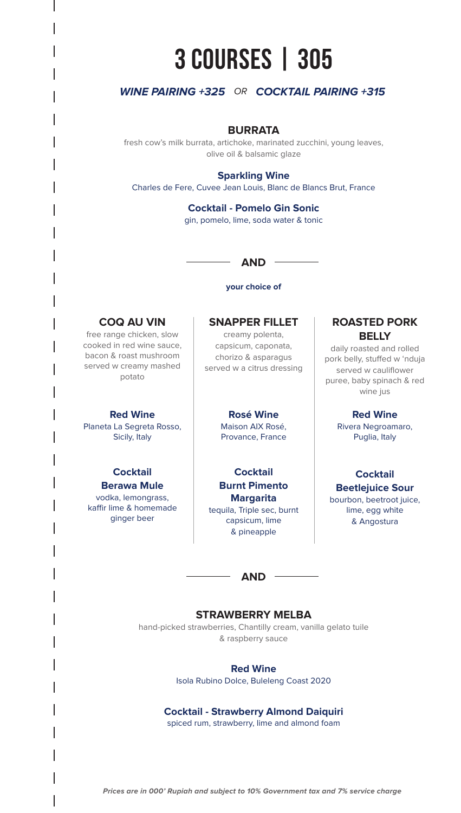# **305 | COURSES 3**

## **WINE PAIRING +325 OR COCKTAIL PAIRING +315**

## **BURRATA**

fresh cow's milk burrata, artichoke, marinated zucchini, young leaves, olive oil & balsamic glaze

## **Sparkling Wine**

Charles de Fere, Cuvee Jean Louis, Blanc de Blancs Brut, France

## **Cocktail - Pomelo Gin Sonic** gin, pomelo, lime, soda water & tonic

## **AND**

#### **your** choice of

## **COQ AU VIN**

free range chicken, slow cooked in red wine sauce. bacon & roast mushroom served w creamy mashed potato

## **Red Wine**

Planeta La Segreta Rosso, Sicily, Italy

## **Cocktail Berawa Mule**

vodka, lemongrass, kaffir lime & homemade ginger beer

## **SNAPPER FILLET**

creamy polenta, capsicum, caponata, chorizo & asparagus served w a citrus dressing

## **Wine Rosé**

Maison AIX Rosé. Provance, France

**Cocktail Burnt Pimento Margarita** tequila, Triple sec, burnt capsicum, lime pineapple&

## **ROASTED PORK BELLY**

daily roasted and rolled pork belly, stuffed w 'nduja served w cauliflower puree, baby spinach & red wine jus

## **Red Wine**

Rivera Negroamaro, Puglia, Italy

## **Cocktail**

**Beetlejuice Sour** bourbon, beetroot juice, lime, egg white Angostura&

## **AND**

## **STRAWBERRY MELBA**

hand-picked strawberries, Chantilly cream, vanilla gelato tuile & raspberry sauce

#### **Red Wine**

Isola Rubino Dolce, Buleleng Coast 2020

## **Cocktail - Strawberry Almond Daiquiri**

spiced rum, strawberry, lime and almond foam

Prices are in 000' Rupiah and subject to 10% Government tax and 7% service charge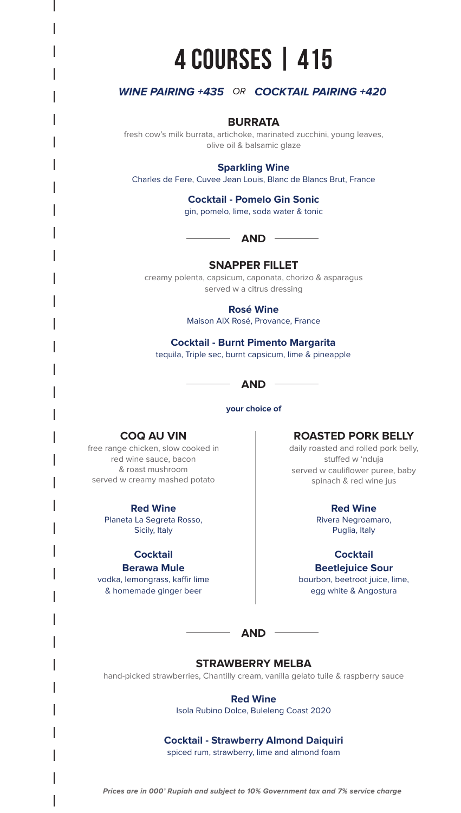# **415 | COURSES 4**

## **WINE PAIRING +435 OR COCKTAIL PAIRING +420**

## **BURRATA**

fresh cow's milk burrata, artichoke, marinated zucchini, young leaves, olive oil & balsamic glaze

## **Sparkling Wine**

Charles de Fere, Cuvee Jean Louis, Blanc de Blancs Brut, France

## **Cocktail - Pomelo Gin Sonic**

qin, pomelo, lime, soda water & tonic



## **SNAPPER FILLET**

creamy polenta, capsicum, caponata, chorizo & asparagus served w a citrus dressing

**Wine Rosé**

Maison AIX Rosé, Provance, France

## **Cocktail - Burnt Pimento Margarita** tequila, Triple sec, burnt capsicum, lime & pineapple



**your** choice of

## **COQ AU VIN**

free range chicken, slow cooked in red wine sauce, bacon & roast mushroom served w creamy mashed potato

### **Wine Red**

Planeta La Segreta Rosso, Sicily, Italy

## **Cocktail**

**Berawa Mule** 

vodka, lemongrass, kaffir lime & homemade ginger beer

## **ROASTED PORK BELLY**

daily roasted and rolled pork belly, stuffed w 'nduja served w cauliflower puree, baby spinach & red wine jus

#### **Wine Red**

Rivera Negroamaro, Puglia, Italy

## **Cocktail**

**Beetlejuice Sour** 

bourbon, beetroot juice, lime, egg white & Angostura

 $-$  AND  $-$ 

## **STRAWBERRY MELBA**

hand-picked strawberries, Chantilly cream, vanilla gelato tuile & raspberry sauce

## **Red Wine**

Isola Rubino Dolce, Buleleng Coast 2020

## **Cocktail - Strawberry Almond Daiquiri**

spiced rum, strawberry, lime and almond foam

Prices are in 000' Rupiah and subject to 10% Government tax and 7% service charge